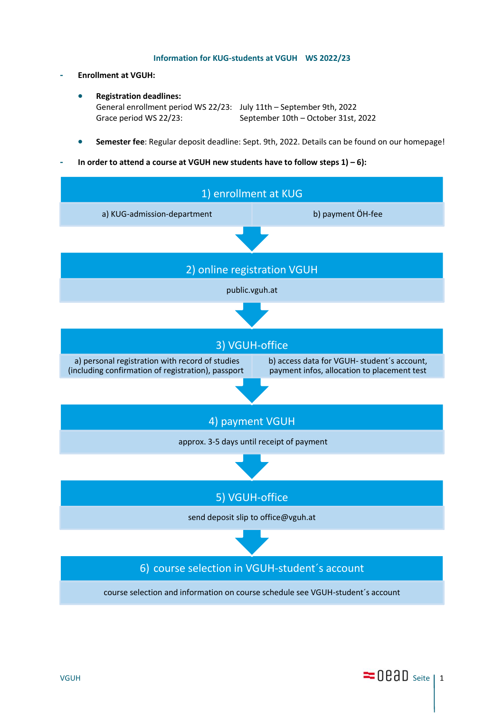## **Information for KUG-students at VGUH WS 2022/23**

- **- Enrollment at VGUH:**
	- **Registration deadlines:** General enrollment period WS 22/23: July 11th – September 9th, 2022 Grace period WS 22/23: September 10th – October 31st, 2022
	- **Semester fee**: Regular deposit deadline: Sept. 9th, 2022. Details can be found on our homepage!
- **- In order to attend a course at VGUH new students have to follow steps 1) – 6):**